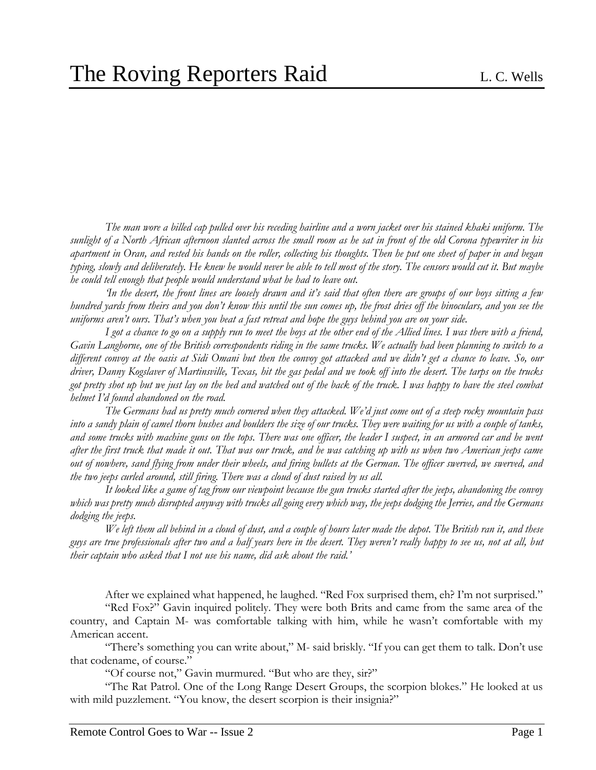*The man wore a billed cap pulled over his receding hairline and a worn jacket over his stained khaki uniform. The sunlight of a North African afternoon slanted across the small room as he sat in front of the old Corona typewriter in his apartment in Oran, and rested his hands on the roller, collecting his thoughts. Then he put one sheet of paper in and began typing, slowly and deliberately. He knew he would never be able to tell most of the story. The censors would cut it. But maybe he could tell enough that people would understand what he had to leave out.* 

*'In the desert, the front lines are loosely drawn and it's said that often there are groups of our boys sitting a few hundred yards from theirs and you don't know this until the sun comes up, the frost dries off the binoculars, and you see the uniforms aren't ours. That's when you beat a fast retreat and hope the guys behind you are on your side.* 

*I got a chance to go on a supply run to meet the boys at the other end of the Allied lines. I was there with a friend, Gavin Langhorne, one of the British correspondents riding in the same trucks. We actually had been planning to switch to a different convoy at the oasis at Sidi Omani but then the convoy got attacked and we didn't get a chance to leave. So, our driver, Danny Kogslaver of Martinsville, Texas, hit the gas pedal and we took off into the desert. The tarps on the trucks got pretty shot up but we just lay on the bed and watched out of the back of the truck. I was happy to have the steel combat helmet I'd found abandoned on the road.*

*The Germans had us pretty much cornered when they attacked. We'd just come out of a steep rocky mountain pass into a sandy plain of camel thorn bushes and boulders the size of our trucks. They were waiting for us with a couple of tanks,*  and some trucks with machine guns on the tops. There was one officer, the leader I suspect, in an armored car and he went *after the first truck that made it out. That was our truck, and he was catching up with us when two American jeeps came out of nowhere, sand flying from under their wheels, and firing bullets at the German. The officer swerved, we swerved, and the two jeeps curled around, still firing. There was a cloud of dust raised by us all.* 

*It looked like a game of tag from our viewpoint because the gun trucks started after the jeeps, abandoning the convoy which was pretty much disrupted anyway with trucks all going every which way, the jeeps dodging the Jerries, and the Germans dodging the jeeps.* 

*We left them all behind in a cloud of dust, and a couple of hours later made the depot. The British ran it, and these guys are true professionals after two and a half years here in the desert. They weren't really happy to see us, not at all, but their captain who asked that I not use his name, did ask about the raid.'*

After we explained what happened, he laughed. "Red Fox surprised them, eh? I'm not surprised."

"Red Fox?" Gavin inquired politely. They were both Brits and came from the same area of the country, and Captain M- was comfortable talking with him, while he wasn't comfortable with my American accent.

"There's something you can write about," M- said briskly. "If you can get them to talk. Don't use that codename, of course."

"Of course not," Gavin murmured. "But who are they, sir?"

"The Rat Patrol. One of the Long Range Desert Groups, the scorpion blokes." He looked at us with mild puzzlement. "You know, the desert scorpion is their insignia?"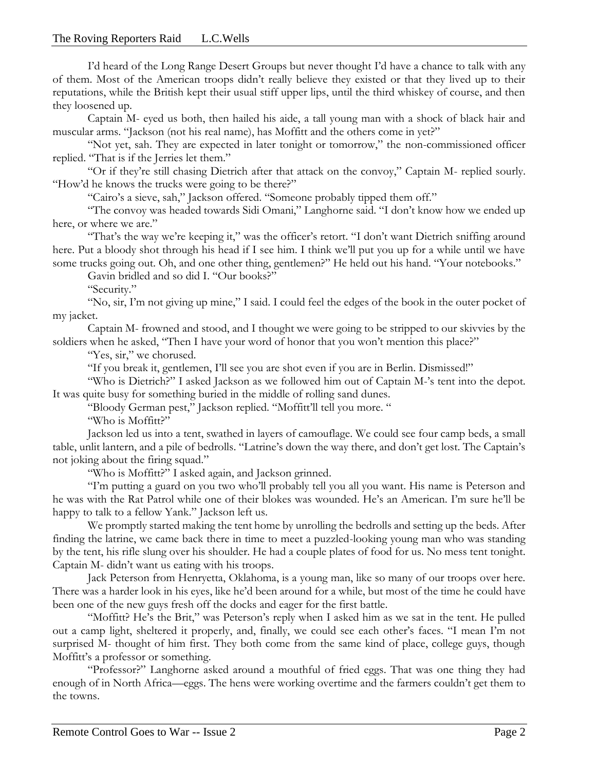I'd heard of the Long Range Desert Groups but never thought I'd have a chance to talk with any of them. Most of the American troops didn't really believe they existed or that they lived up to their reputations, while the British kept their usual stiff upper lips, until the third whiskey of course, and then they loosened up.

Captain M- eyed us both, then hailed his aide, a tall young man with a shock of black hair and muscular arms. "Jackson (not his real name), has Moffitt and the others come in yet?"

"Not yet, sah. They are expected in later tonight or tomorrow," the non-commissioned officer replied. "That is if the Jerries let them."

"Or if they're still chasing Dietrich after that attack on the convoy," Captain M- replied sourly. "How'd he knows the trucks were going to be there?"

"Cairo's a sieve, sah," Jackson offered. "Someone probably tipped them off."

"The convoy was headed towards Sidi Omani," Langhorne said. "I don't know how we ended up here, or where we are."

"That's the way we're keeping it," was the officer's retort. "I don't want Dietrich sniffing around here. Put a bloody shot through his head if I see him. I think we'll put you up for a while until we have some trucks going out. Oh, and one other thing, gentlemen?" He held out his hand. "Your notebooks."

Gavin bridled and so did I. "Our books?"

"Security."

"No, sir, I'm not giving up mine," I said. I could feel the edges of the book in the outer pocket of my jacket.

Captain M- frowned and stood, and I thought we were going to be stripped to our skivvies by the soldiers when he asked, "Then I have your word of honor that you won't mention this place?"

"Yes, sir," we chorused.

"If you break it, gentlemen, I'll see you are shot even if you are in Berlin. Dismissed!"

"Who is Dietrich?" I asked Jackson as we followed him out of Captain M-'s tent into the depot. It was quite busy for something buried in the middle of rolling sand dunes.

"Bloody German pest," Jackson replied. "Moffitt'll tell you more. "

"Who is Moffitt?"

Jackson led us into a tent, swathed in layers of camouflage. We could see four camp beds, a small table, unlit lantern, and a pile of bedrolls. "Latrine's down the way there, and don't get lost. The Captain's not joking about the firing squad."

"Who is Moffitt?" I asked again, and Jackson grinned.

"I'm putting a guard on you two who'll probably tell you all you want. His name is Peterson and he was with the Rat Patrol while one of their blokes was wounded. He's an American. I'm sure he'll be happy to talk to a fellow Yank." Jackson left us.

We promptly started making the tent home by unrolling the bedrolls and setting up the beds. After finding the latrine, we came back there in time to meet a puzzled-looking young man who was standing by the tent, his rifle slung over his shoulder. He had a couple plates of food for us. No mess tent tonight. Captain M- didn't want us eating with his troops.

Jack Peterson from Henryetta, Oklahoma, is a young man, like so many of our troops over here. There was a harder look in his eyes, like he'd been around for a while, but most of the time he could have been one of the new guys fresh off the docks and eager for the first battle.

"Moffitt? He's the Brit," was Peterson's reply when I asked him as we sat in the tent. He pulled out a camp light, sheltered it properly, and, finally, we could see each other's faces. "I mean I'm not surprised M- thought of him first. They both come from the same kind of place, college guys, though Moffitt's a professor or something.

"Professor?" Langhorne asked around a mouthful of fried eggs. That was one thing they had enough of in North Africa—eggs. The hens were working overtime and the farmers couldn't get them to the towns.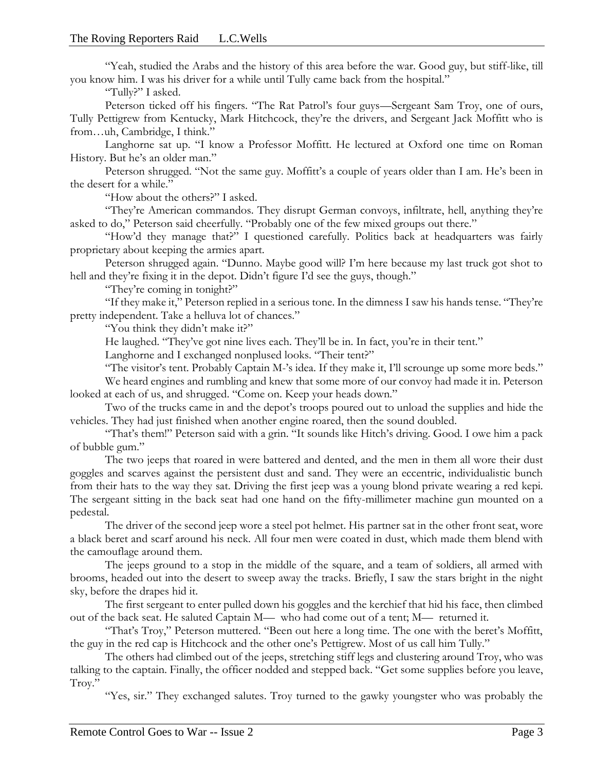"Yeah, studied the Arabs and the history of this area before the war. Good guy, but stiff-like, till you know him. I was his driver for a while until Tully came back from the hospital."

"Tully?" I asked.

Peterson ticked off his fingers. "The Rat Patrol's four guys—Sergeant Sam Troy, one of ours, Tully Pettigrew from Kentucky, Mark Hitchcock, they're the drivers, and Sergeant Jack Moffitt who is from…uh, Cambridge, I think."

Langhorne sat up. "I know a Professor Moffitt. He lectured at Oxford one time on Roman History. But he's an older man."

Peterson shrugged. "Not the same guy. Moffitt's a couple of years older than I am. He's been in the desert for a while."

"How about the others?" I asked.

"They're American commandos. They disrupt German convoys, infiltrate, hell, anything they're asked to do," Peterson said cheerfully. "Probably one of the few mixed groups out there."

"How'd they manage that?" I questioned carefully. Politics back at headquarters was fairly proprietary about keeping the armies apart.

Peterson shrugged again. "Dunno. Maybe good will? I'm here because my last truck got shot to hell and they're fixing it in the depot. Didn't figure I'd see the guys, though."

"They're coming in tonight?"

"If they make it," Peterson replied in a serious tone. In the dimness I saw his hands tense. "They're pretty independent. Take a helluva lot of chances."

"You think they didn't make it?"

He laughed. "They've got nine lives each. They'll be in. In fact, you're in their tent."

Langhorne and I exchanged nonplused looks. "Their tent?"

"The visitor's tent. Probably Captain M-'s idea. If they make it, I'll scrounge up some more beds." We heard engines and rumbling and knew that some more of our convoy had made it in. Peterson

looked at each of us, and shrugged. "Come on. Keep your heads down."

Two of the trucks came in and the depot's troops poured out to unload the supplies and hide the vehicles. They had just finished when another engine roared, then the sound doubled.

"That's them!" Peterson said with a grin. "It sounds like Hitch's driving. Good. I owe him a pack of bubble gum."

The two jeeps that roared in were battered and dented, and the men in them all wore their dust goggles and scarves against the persistent dust and sand. They were an eccentric, individualistic bunch from their hats to the way they sat. Driving the first jeep was a young blond private wearing a red kepi. The sergeant sitting in the back seat had one hand on the fifty-millimeter machine gun mounted on a pedestal.

The driver of the second jeep wore a steel pot helmet. His partner sat in the other front seat, wore a black beret and scarf around his neck. All four men were coated in dust, which made them blend with the camouflage around them.

The jeeps ground to a stop in the middle of the square, and a team of soldiers, all armed with brooms, headed out into the desert to sweep away the tracks. Briefly, I saw the stars bright in the night sky, before the drapes hid it.

The first sergeant to enter pulled down his goggles and the kerchief that hid his face, then climbed out of the back seat. He saluted Captain M— who had come out of a tent; M— returned it.

"That's Troy," Peterson muttered. "Been out here a long time. The one with the beret's Moffitt, the guy in the red cap is Hitchcock and the other one's Pettigrew. Most of us call him Tully."

The others had climbed out of the jeeps, stretching stiff legs and clustering around Troy, who was talking to the captain. Finally, the officer nodded and stepped back. "Get some supplies before you leave, Troy."

"Yes, sir." They exchanged salutes. Troy turned to the gawky youngster who was probably the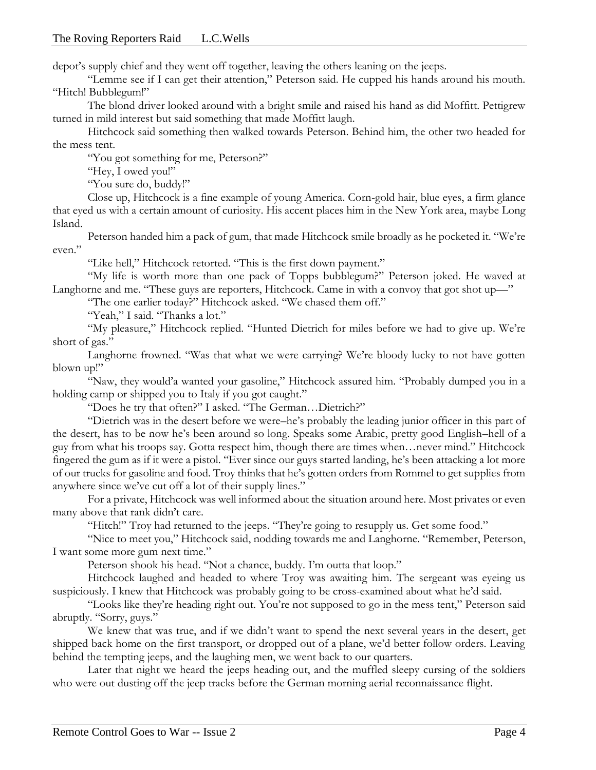depot's supply chief and they went off together, leaving the others leaning on the jeeps.

"Lemme see if I can get their attention," Peterson said. He cupped his hands around his mouth. "Hitch! Bubblegum!"

The blond driver looked around with a bright smile and raised his hand as did Moffitt. Pettigrew turned in mild interest but said something that made Moffitt laugh.

Hitchcock said something then walked towards Peterson. Behind him, the other two headed for the mess tent.

"You got something for me, Peterson?"

"Hey, I owed you!"

"You sure do, buddy!"

Close up, Hitchcock is a fine example of young America. Corn-gold hair, blue eyes, a firm glance that eyed us with a certain amount of curiosity. His accent places him in the New York area, maybe Long Island.

Peterson handed him a pack of gum, that made Hitchcock smile broadly as he pocketed it. "We're even."

"Like hell," Hitchcock retorted. "This is the first down payment."

"My life is worth more than one pack of Topps bubblegum?" Peterson joked. He waved at Langhorne and me. "These guys are reporters, Hitchcock. Came in with a convoy that got shot up—"

"The one earlier today?" Hitchcock asked. "We chased them off."

"Yeah," I said. "Thanks a lot."

"My pleasure," Hitchcock replied. "Hunted Dietrich for miles before we had to give up. We're short of gas."

Langhorne frowned. "Was that what we were carrying? We're bloody lucky to not have gotten blown up!"

"Naw, they would'a wanted your gasoline," Hitchcock assured him. "Probably dumped you in a holding camp or shipped you to Italy if you got caught."

"Does he try that often?" I asked. "The German…Dietrich?"

"Dietrich was in the desert before we were–he's probably the leading junior officer in this part of the desert, has to be now he's been around so long. Speaks some Arabic, pretty good English–hell of a guy from what his troops say. Gotta respect him, though there are times when…never mind." Hitchcock fingered the gum as if it were a pistol. "Ever since our guys started landing, he's been attacking a lot more of our trucks for gasoline and food. Troy thinks that he's gotten orders from Rommel to get supplies from anywhere since we've cut off a lot of their supply lines."

For a private, Hitchcock was well informed about the situation around here. Most privates or even many above that rank didn't care.

"Hitch!" Troy had returned to the jeeps. "They're going to resupply us. Get some food."

"Nice to meet you," Hitchcock said, nodding towards me and Langhorne. "Remember, Peterson, I want some more gum next time."

Peterson shook his head. "Not a chance, buddy. I'm outta that loop."

Hitchcock laughed and headed to where Troy was awaiting him. The sergeant was eyeing us suspiciously. I knew that Hitchcock was probably going to be cross-examined about what he'd said.

"Looks like they're heading right out. You're not supposed to go in the mess tent," Peterson said abruptly. "Sorry, guys."

We knew that was true, and if we didn't want to spend the next several years in the desert, get shipped back home on the first transport, or dropped out of a plane, we'd better follow orders. Leaving behind the tempting jeeps, and the laughing men, we went back to our quarters.

Later that night we heard the jeeps heading out, and the muffled sleepy cursing of the soldiers who were out dusting off the jeep tracks before the German morning aerial reconnaissance flight.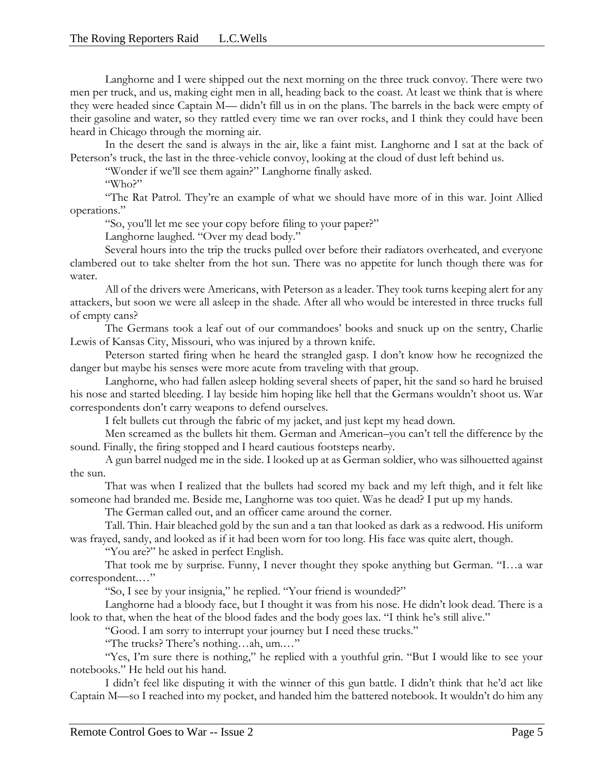Langhorne and I were shipped out the next morning on the three truck convoy. There were two men per truck, and us, making eight men in all, heading back to the coast. At least we think that is where they were headed since Captain M— didn't fill us in on the plans. The barrels in the back were empty of their gasoline and water, so they rattled every time we ran over rocks, and I think they could have been heard in Chicago through the morning air.

In the desert the sand is always in the air, like a faint mist. Langhorne and I sat at the back of Peterson's truck, the last in the three-vehicle convoy, looking at the cloud of dust left behind us.

"Wonder if we'll see them again?" Langhorne finally asked.

"Who?"

"The Rat Patrol. They're an example of what we should have more of in this war. Joint Allied operations."

"So, you'll let me see your copy before filing to your paper?"

Langhorne laughed. "Over my dead body."

Several hours into the trip the trucks pulled over before their radiators overheated, and everyone clambered out to take shelter from the hot sun. There was no appetite for lunch though there was for water.

All of the drivers were Americans, with Peterson as a leader. They took turns keeping alert for any attackers, but soon we were all asleep in the shade. After all who would be interested in three trucks full of empty cans?

The Germans took a leaf out of our commandoes' books and snuck up on the sentry, Charlie Lewis of Kansas City, Missouri, who was injured by a thrown knife.

Peterson started firing when he heard the strangled gasp. I don't know how he recognized the danger but maybe his senses were more acute from traveling with that group.

Langhorne, who had fallen asleep holding several sheets of paper, hit the sand so hard he bruised his nose and started bleeding. I lay beside him hoping like hell that the Germans wouldn't shoot us. War correspondents don't carry weapons to defend ourselves.

I felt bullets cut through the fabric of my jacket, and just kept my head down.

Men screamed as the bullets hit them. German and American–you can't tell the difference by the sound. Finally, the firing stopped and I heard cautious footsteps nearby.

A gun barrel nudged me in the side. I looked up at as German soldier, who was silhouetted against the sun.

That was when I realized that the bullets had scored my back and my left thigh, and it felt like someone had branded me. Beside me, Langhorne was too quiet. Was he dead? I put up my hands.

The German called out, and an officer came around the corner.

Tall. Thin. Hair bleached gold by the sun and a tan that looked as dark as a redwood. His uniform was frayed, sandy, and looked as if it had been worn for too long. His face was quite alert, though.

"You are?" he asked in perfect English.

That took me by surprise. Funny, I never thought they spoke anything but German. "I…a war correspondent.…"

"So, I see by your insignia," he replied. "Your friend is wounded?"

Langhorne had a bloody face, but I thought it was from his nose. He didn't look dead. There is a look to that, when the heat of the blood fades and the body goes lax. "I think he's still alive."

"Good. I am sorry to interrupt your journey but I need these trucks."

"The trucks? There's nothing…ah, um.…"

"Yes, I'm sure there is nothing," he replied with a youthful grin. "But I would like to see your notebooks." He held out his hand.

I didn't feel like disputing it with the winner of this gun battle. I didn't think that he'd act like Captain M—so I reached into my pocket, and handed him the battered notebook. It wouldn't do him any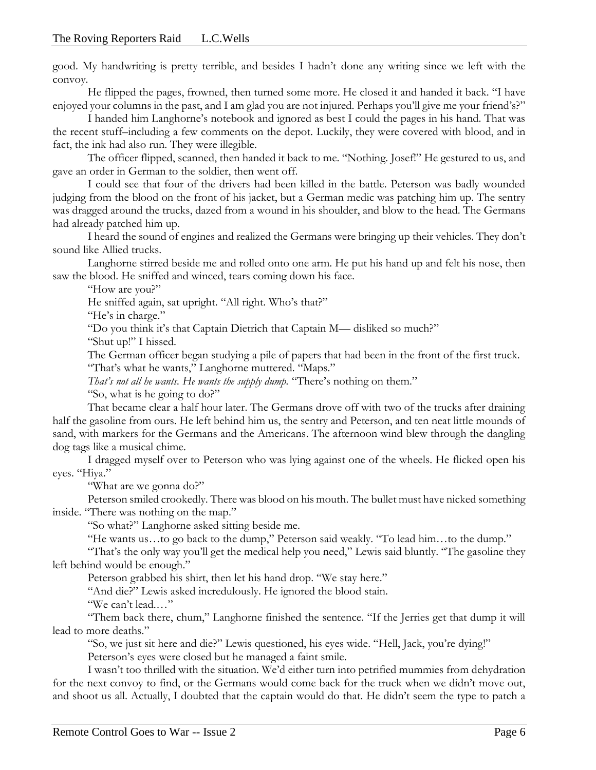good. My handwriting is pretty terrible, and besides I hadn't done any writing since we left with the convoy.

He flipped the pages, frowned, then turned some more. He closed it and handed it back. "I have enjoyed your columns in the past, and I am glad you are not injured. Perhaps you'll give me your friend's?"

I handed him Langhorne's notebook and ignored as best I could the pages in his hand. That was the recent stuff–including a few comments on the depot. Luckily, they were covered with blood, and in fact, the ink had also run. They were illegible.

The officer flipped, scanned, then handed it back to me. "Nothing. Josef!" He gestured to us, and gave an order in German to the soldier, then went off.

I could see that four of the drivers had been killed in the battle. Peterson was badly wounded judging from the blood on the front of his jacket, but a German medic was patching him up. The sentry was dragged around the trucks, dazed from a wound in his shoulder, and blow to the head. The Germans had already patched him up.

I heard the sound of engines and realized the Germans were bringing up their vehicles. They don't sound like Allied trucks.

Langhorne stirred beside me and rolled onto one arm. He put his hand up and felt his nose, then saw the blood. He sniffed and winced, tears coming down his face.

"How are you?"

He sniffed again, sat upright. "All right. Who's that?"

"He's in charge."

"Do you think it's that Captain Dietrich that Captain M— disliked so much?"

"Shut up!" I hissed.

The German officer began studying a pile of papers that had been in the front of the first truck. "That's what he wants," Langhorne muttered. "Maps."

*That's not all he wants. He wants the supply dump.* "There's nothing on them."

"So, what is he going to do?"

That became clear a half hour later. The Germans drove off with two of the trucks after draining half the gasoline from ours. He left behind him us, the sentry and Peterson, and ten neat little mounds of sand, with markers for the Germans and the Americans. The afternoon wind blew through the dangling dog tags like a musical chime.

I dragged myself over to Peterson who was lying against one of the wheels. He flicked open his eyes. "Hiya."

"What are we gonna do?"

Peterson smiled crookedly. There was blood on his mouth. The bullet must have nicked something inside. "There was nothing on the map."

"So what?" Langhorne asked sitting beside me.

"He wants us…to go back to the dump," Peterson said weakly. "To lead him…to the dump."

"That's the only way you'll get the medical help you need," Lewis said bluntly. "The gasoline they left behind would be enough."

Peterson grabbed his shirt, then let his hand drop. "We stay here."

"And die?" Lewis asked incredulously. He ignored the blood stain.

"We can't lead.…"

"Them back there, chum," Langhorne finished the sentence. "If the Jerries get that dump it will lead to more deaths."

"So, we just sit here and die?" Lewis questioned, his eyes wide. "Hell, Jack, you're dying!"

Peterson's eyes were closed but he managed a faint smile.

I wasn't too thrilled with the situation. We'd either turn into petrified mummies from dehydration for the next convoy to find, or the Germans would come back for the truck when we didn't move out, and shoot us all. Actually, I doubted that the captain would do that. He didn't seem the type to patch a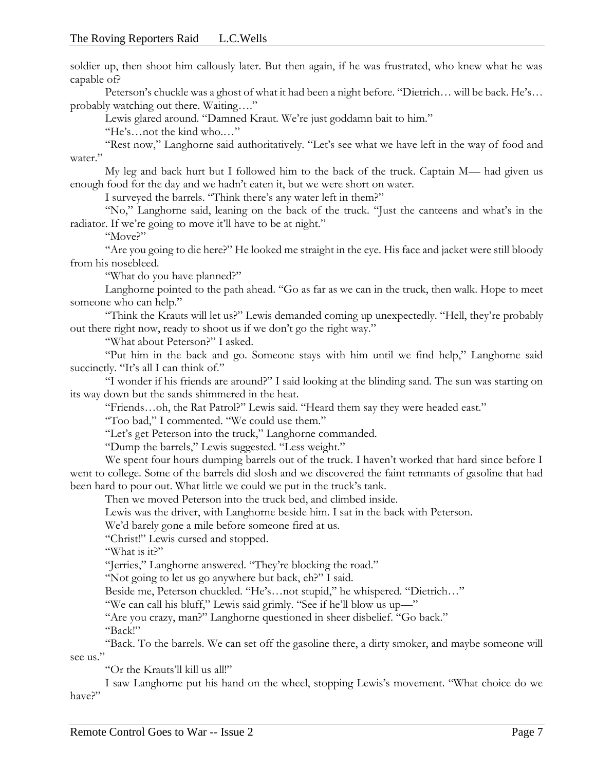soldier up, then shoot him callously later. But then again, if he was frustrated, who knew what he was capable of?

Peterson's chuckle was a ghost of what it had been a night before. "Dietrich… will be back. He's… probably watching out there. Waiting…."

Lewis glared around. "Damned Kraut. We're just goddamn bait to him."

"He's…not the kind who.…"

"Rest now," Langhorne said authoritatively. "Let's see what we have left in the way of food and water."

My leg and back hurt but I followed him to the back of the truck. Captain M— had given us enough food for the day and we hadn't eaten it, but we were short on water.

I surveyed the barrels. "Think there's any water left in them?"

"No," Langhorne said, leaning on the back of the truck. "Just the canteens and what's in the radiator. If we're going to move it'll have to be at night."

"Move?"

"Are you going to die here?" He looked me straight in the eye. His face and jacket were still bloody from his nosebleed.

"What do you have planned?"

Langhorne pointed to the path ahead. "Go as far as we can in the truck, then walk. Hope to meet someone who can help."

"Think the Krauts will let us?" Lewis demanded coming up unexpectedly. "Hell, they're probably out there right now, ready to shoot us if we don't go the right way."

"What about Peterson?" I asked.

"Put him in the back and go. Someone stays with him until we find help," Langhorne said succinctly. "It's all I can think of."

"I wonder if his friends are around?" I said looking at the blinding sand. The sun was starting on its way down but the sands shimmered in the heat.

"Friends…oh, the Rat Patrol?" Lewis said. "Heard them say they were headed east."

"Too bad," I commented. "We could use them."

"Let's get Peterson into the truck," Langhorne commanded.

"Dump the barrels," Lewis suggested. "Less weight."

We spent four hours dumping barrels out of the truck. I haven't worked that hard since before I went to college. Some of the barrels did slosh and we discovered the faint remnants of gasoline that had been hard to pour out. What little we could we put in the truck's tank.

Then we moved Peterson into the truck bed, and climbed inside.

Lewis was the driver, with Langhorne beside him. I sat in the back with Peterson.

We'd barely gone a mile before someone fired at us.

"Christ!" Lewis cursed and stopped.

"What is it?"

"Jerries," Langhorne answered. "They're blocking the road."

"Not going to let us go anywhere but back, eh?" I said.

Beside me, Peterson chuckled. "He's…not stupid," he whispered. "Dietrich…"

"We can call his bluff," Lewis said grimly. "See if he'll blow us up—"

"Are you crazy, man?" Langhorne questioned in sheer disbelief. "Go back."

"Back!"

"Back. To the barrels. We can set off the gasoline there, a dirty smoker, and maybe someone will see us."

"Or the Krauts'll kill us all!"

I saw Langhorne put his hand on the wheel, stopping Lewis's movement. "What choice do we have?"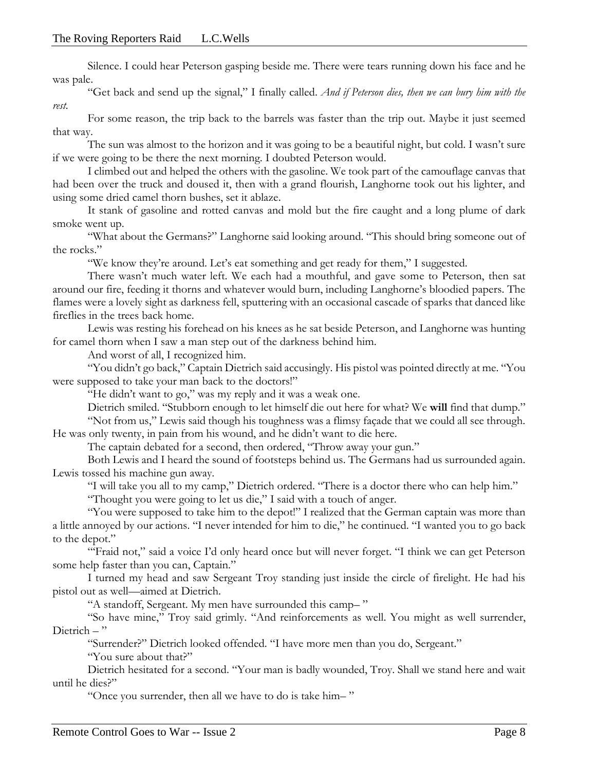Silence. I could hear Peterson gasping beside me. There were tears running down his face and he was pale.

"Get back and send up the signal," I finally called. *And if Peterson dies, then we can bury him with the rest.*

For some reason, the trip back to the barrels was faster than the trip out. Maybe it just seemed that way.

The sun was almost to the horizon and it was going to be a beautiful night, but cold. I wasn't sure if we were going to be there the next morning. I doubted Peterson would.

I climbed out and helped the others with the gasoline. We took part of the camouflage canvas that had been over the truck and doused it, then with a grand flourish, Langhorne took out his lighter, and using some dried camel thorn bushes, set it ablaze.

It stank of gasoline and rotted canvas and mold but the fire caught and a long plume of dark smoke went up.

"What about the Germans?" Langhorne said looking around. "This should bring someone out of the rocks."

"We know they're around. Let's eat something and get ready for them," I suggested.

There wasn't much water left. We each had a mouthful, and gave some to Peterson, then sat around our fire, feeding it thorns and whatever would burn, including Langhorne's bloodied papers. The flames were a lovely sight as darkness fell, sputtering with an occasional cascade of sparks that danced like fireflies in the trees back home.

Lewis was resting his forehead on his knees as he sat beside Peterson, and Langhorne was hunting for camel thorn when I saw a man step out of the darkness behind him.

And worst of all, I recognized him.

"You didn't go back," Captain Dietrich said accusingly. His pistol was pointed directly at me. "You were supposed to take your man back to the doctors!"

"He didn't want to go," was my reply and it was a weak one.

Dietrich smiled. "Stubborn enough to let himself die out here for what? We **will** find that dump."

"Not from us," Lewis said though his toughness was a flimsy façade that we could all see through. He was only twenty, in pain from his wound, and he didn't want to die here.

The captain debated for a second, then ordered, "Throw away your gun."

Both Lewis and I heard the sound of footsteps behind us. The Germans had us surrounded again. Lewis tossed his machine gun away.

"I will take you all to my camp," Dietrich ordered. "There is a doctor there who can help him."

"Thought you were going to let us die," I said with a touch of anger.

"You were supposed to take him to the depot!" I realized that the German captain was more than a little annoyed by our actions. "I never intended for him to die," he continued. "I wanted you to go back to the depot."

"'Fraid not," said a voice I'd only heard once but will never forget. "I think we can get Peterson some help faster than you can, Captain."

I turned my head and saw Sergeant Troy standing just inside the circle of firelight. He had his pistol out as well—aimed at Dietrich.

"A standoff, Sergeant. My men have surrounded this camp– "

"So have mine," Troy said grimly. "And reinforcements as well. You might as well surrender, Dietrich – "

"Surrender?" Dietrich looked offended. "I have more men than you do, Sergeant."

"You sure about that?"

Dietrich hesitated for a second. "Your man is badly wounded, Troy. Shall we stand here and wait until he dies?"

"Once you surrender, then all we have to do is take him– "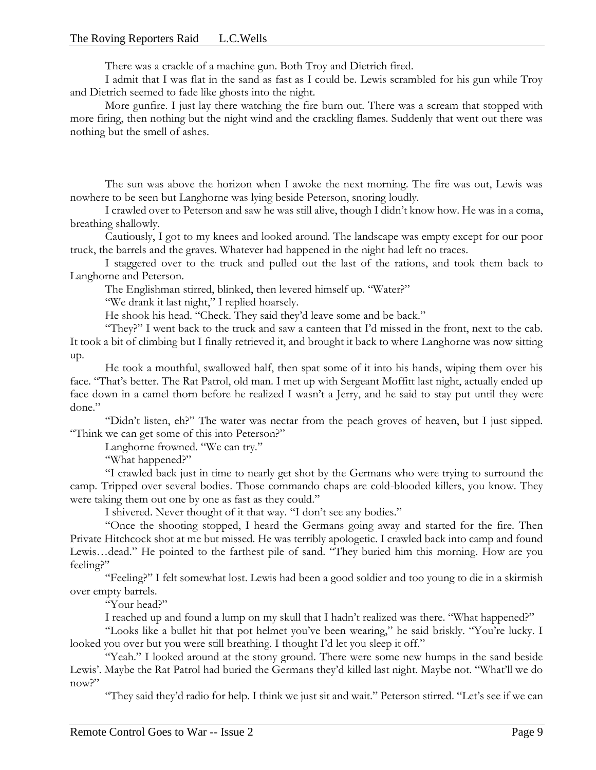There was a crackle of a machine gun. Both Troy and Dietrich fired.

I admit that I was flat in the sand as fast as I could be. Lewis scrambled for his gun while Troy and Dietrich seemed to fade like ghosts into the night.

More gunfire. I just lay there watching the fire burn out. There was a scream that stopped with more firing, then nothing but the night wind and the crackling flames. Suddenly that went out there was nothing but the smell of ashes.

The sun was above the horizon when I awoke the next morning. The fire was out, Lewis was nowhere to be seen but Langhorne was lying beside Peterson, snoring loudly.

I crawled over to Peterson and saw he was still alive, though I didn't know how. He was in a coma, breathing shallowly.

Cautiously, I got to my knees and looked around. The landscape was empty except for our poor truck, the barrels and the graves. Whatever had happened in the night had left no traces.

I staggered over to the truck and pulled out the last of the rations, and took them back to Langhorne and Peterson.

The Englishman stirred, blinked, then levered himself up. "Water?"

"We drank it last night," I replied hoarsely.

He shook his head. "Check. They said they'd leave some and be back."

"They?" I went back to the truck and saw a canteen that I'd missed in the front, next to the cab. It took a bit of climbing but I finally retrieved it, and brought it back to where Langhorne was now sitting up.

He took a mouthful, swallowed half, then spat some of it into his hands, wiping them over his face. "That's better. The Rat Patrol, old man. I met up with Sergeant Moffitt last night, actually ended up face down in a camel thorn before he realized I wasn't a Jerry, and he said to stay put until they were done."

"Didn't listen, eh?" The water was nectar from the peach groves of heaven, but I just sipped. "Think we can get some of this into Peterson?"

Langhorne frowned. "We can try."

"What happened?"

"I crawled back just in time to nearly get shot by the Germans who were trying to surround the camp. Tripped over several bodies. Those commando chaps are cold-blooded killers, you know. They were taking them out one by one as fast as they could."

I shivered. Never thought of it that way. "I don't see any bodies."

"Once the shooting stopped, I heard the Germans going away and started for the fire. Then Private Hitchcock shot at me but missed. He was terribly apologetic. I crawled back into camp and found Lewis…dead." He pointed to the farthest pile of sand. "They buried him this morning. How are you feeling?"

"Feeling?" I felt somewhat lost. Lewis had been a good soldier and too young to die in a skirmish over empty barrels.

"Your head?"

I reached up and found a lump on my skull that I hadn't realized was there. "What happened?"

"Looks like a bullet hit that pot helmet you've been wearing," he said briskly. "You're lucky. I looked you over but you were still breathing. I thought I'd let you sleep it off."

"Yeah." I looked around at the stony ground. There were some new humps in the sand beside Lewis'. Maybe the Rat Patrol had buried the Germans they'd killed last night. Maybe not. "What'll we do now?"

"They said they'd radio for help. I think we just sit and wait." Peterson stirred. "Let's see if we can